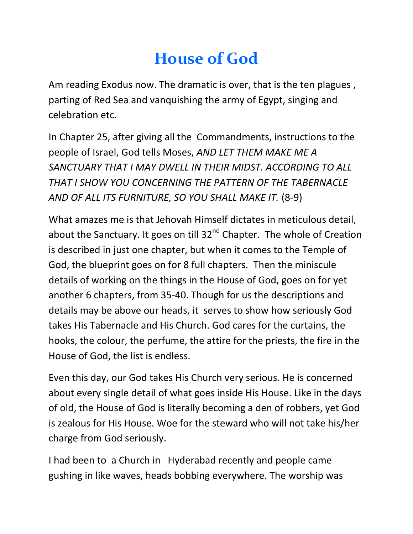## **House of God**

Am reading Exodus now. The dramatic is over, that is the ten plagues , parting of Red Sea and vanquishing the army of Egypt, singing and celebration etc.

In Chapter 25, after giving all the Commandments, instructions to the people of Israel, God tells Moses, *AND LET THEM MAKE ME A SANCTUARY THAT I MAY DWELL IN THEIR MIDST. ACCORDING TO ALL THAT I SHOW YOU CONCERNING THE PATTERN OF THE TABERNACLE AND OF ALL ITS FURNITURE, SO YOU SHALL MAKE IT.* (8-9)

What amazes me is that Jehovah Himself dictates in meticulous detail, about the Sanctuary. It goes on till  $32<sup>nd</sup>$  Chapter. The whole of Creation is described in just one chapter, but when it comes to the Temple of God, the blueprint goes on for 8 full chapters. Then the miniscule details of working on the things in the House of God, goes on for yet another 6 chapters, from 35-40. Though for us the descriptions and details may be above our heads, it serves to show how seriously God takes His Tabernacle and His Church. God cares for the curtains, the hooks, the colour, the perfume, the attire for the priests, the fire in the House of God, the list is endless.

Even this day, our God takes His Church very serious. He is concerned about every single detail of what goes inside His House. Like in the days of old, the House of God is literally becoming a den of robbers, yet God is zealous for His House. Woe for the steward who will not take his/her charge from God seriously.

I had been to a Church in Hyderabad recently and people came gushing in like waves, heads bobbing everywhere. The worship was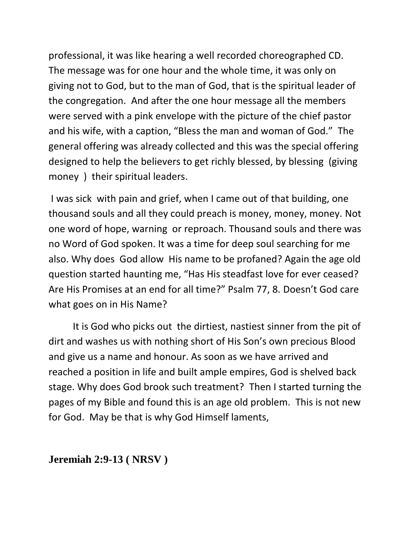professional, it was like hearing a well recorded choreographed CD. The message was for one hour and the whole time, it was only on giving not to God, but to the man of God, that is the spiritual leader of the congregation. And after the one hour message all the members were served with a pink envelope with the picture of the chief pastor and his wife, with a caption, "Bless the man and woman of God." The general offering was already collected and this was the special offering designed to help the believers to get richly blessed, by blessing (giving money ) their spiritual leaders.

I was sick with pain and grief, when I came out of that building, one thousand souls and all they could preach is money, money, money. Not one word of hope, warning or reproach. Thousand souls and there was no Word of God spoken. It was a time for deep soul searching for me also. Why does God allow His name to be profaned? Again the age old question started haunting me, "Has His steadfast love for ever ceased? Are His Promises at an end for all time?" Psalm 77, 8. Doesn't God care what goes on in His Name?

It is God who picks out the dirtiest, nastiest sinner from the pit of dirt and washes us with nothing short of His Son's own precious Blood and give us a name and honour. As soon as we have arrived and reached a position in life and built ample empires, God is shelved back stage. Why does God brook such treatment? Then I started turning the pages of my Bible and found this is an age old problem. This is not new for God. May be that is why God Himself laments,

**Jeremiah 2:9-13 ( NRSV )**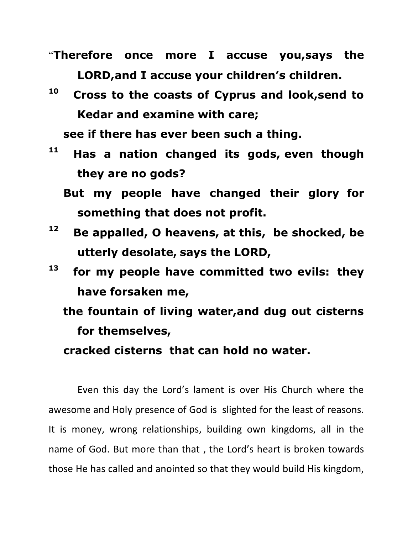- "**Therefore once more I accuse you,says the LORD,and I accuse your children's children.**
- **10 Cross to the coasts of Cyprus and look,send to Kedar and examine with care;**

 **see if there has ever been such a thing.**

- **11 Has a nation changed its gods, even though they are no gods?**
	- **But my people have changed their glory for something that does not profit.**
- **12 Be appalled, O heavens, at this, be shocked, be utterly desolate, says the LORD,**
- **13 for my people have committed two evils: they have forsaken me,**
	- **the fountain of living water,and dug out cisterns for themselves,**

 **cracked cisterns that can hold no water.**

Even this day the Lord's lament is over His Church where the awesome and Holy presence of God is slighted for the least of reasons. It is money, wrong relationships, building own kingdoms, all in the name of God. But more than that , the Lord's heart is broken towards those He has called and anointed so that they would build His kingdom,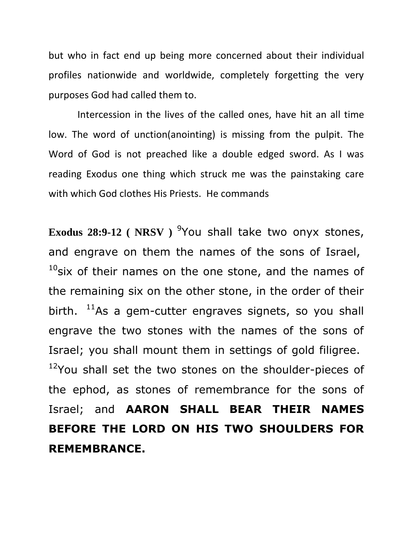but who in fact end up being more concerned about their individual profiles nationwide and worldwide, completely forgetting the very purposes God had called them to.

Intercession in the lives of the called ones, have hit an all time low. The word of unction(anointing) is missing from the pulpit. The Word of God is not preached like a double edged sword. As I was reading Exodus one thing which struck me was the painstaking care with which God clothes His Priests. He commands

Exodus 28:9-12 ( NRSV ) <sup>9</sup> You shall take two onyx stones, and engrave on them the names of the sons of Israel,  $10$ six of their names on the one stone, and the names of the remaining six on the other stone, in the order of their birth.  $11\text{As}$  a gem-cutter engraves signets, so you shall engrave the two stones with the names of the sons of Israel; you shall mount them in settings of gold filigree.  $12$ You shall set the two stones on the shoulder-pieces of the ephod, as stones of remembrance for the sons of Israel; and **AARON SHALL BEAR THEIR NAMES BEFORE THE LORD ON HIS TWO SHOULDERS FOR REMEMBRANCE.**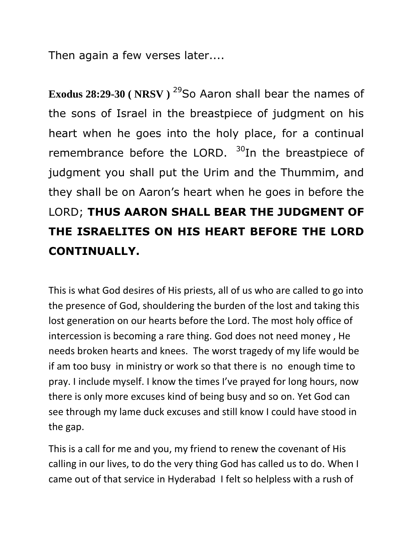Then again a few verses later....

Exodus 28:29-30 (NRSV)<sup>29</sup>So Aaron shall bear the names of the sons of Israel in the breastpiece of judgment on his heart when he goes into the holy place, for a continual remembrance before the LORD.  $30$ In the breastpiece of judgment you shall put the Urim and the Thummim, and they shall be on Aaron's heart when he goes in before the LORD; **THUS AARON SHALL BEAR THE JUDGMENT OF THE ISRAELITES ON HIS HEART BEFORE THE LORD CONTINUALLY.**

This is what God desires of His priests, all of us who are called to go into the presence of God, shouldering the burden of the lost and taking this lost generation on our hearts before the Lord. The most holy office of intercession is becoming a rare thing. God does not need money , He needs broken hearts and knees. The worst tragedy of my life would be if am too busy in ministry or work so that there is no enough time to pray. I include myself. I know the times I've prayed for long hours, now there is only more excuses kind of being busy and so on. Yet God can see through my lame duck excuses and still know I could have stood in the gap.

This is a call for me and you, my friend to renew the covenant of His calling in our lives, to do the very thing God has called us to do. When I came out of that service in Hyderabad I felt so helpless with a rush of